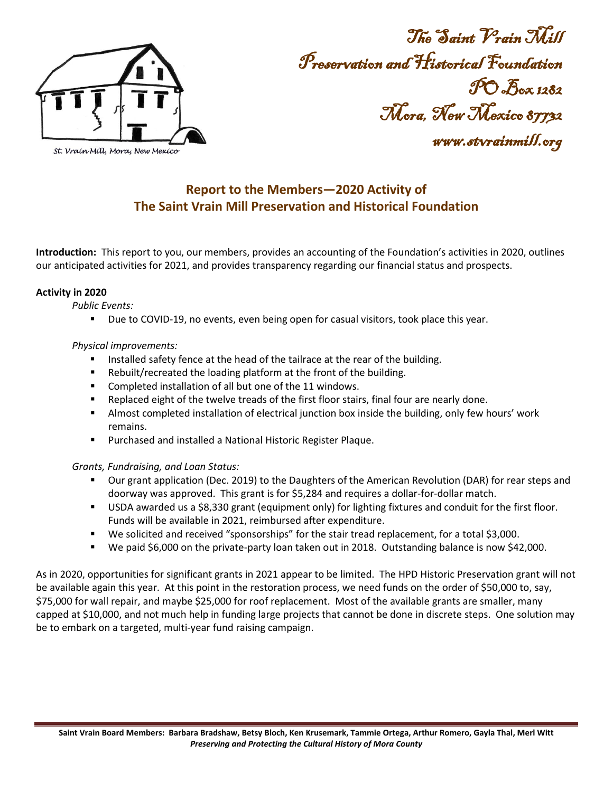

The Saint Vrain Mill Preservation and Historical Foundation PO Box 1282 Mora, New Mexico 87732 www.stvrainmill.org

# **Report to the Members—2020 Activity of The Saint Vrain Mill Preservation and Historical Foundation**

**Introduction:** This report to you, our members, provides an accounting of the Foundation's activities in 2020, outlines our anticipated activities for 2021, and provides transparency regarding our financial status and prospects.

### **Activity in 2020**

*Public Events:* 

**Due to COVID-19, no events, even being open for casual visitors, took place this year.** 

## *Physical improvements:*

- Installed safety fence at the head of the tailrace at the rear of the building.
- Rebuilt/recreated the loading platform at the front of the building.
- **Completed installation of all but one of the 11 windows.**
- **Parage 1** Replaced eight of the twelve treads of the first floor stairs, final four are nearly done.
- **Almost completed installation of electrical junction box inside the building, only few hours' work** remains.
- Purchased and installed a National Historic Register Plaque.

## *Grants, Fundraising, and Loan Status:*

- Our grant application (Dec. 2019) to the Daughters of the American Revolution (DAR) for rear steps and doorway was approved. This grant is for \$5,284 and requires a dollar-for-dollar match.
- USDA awarded us a \$8,330 grant (equipment only) for lighting fixtures and conduit for the first floor. Funds will be available in 2021, reimbursed after expenditure.
- We solicited and received "sponsorships" for the stair tread replacement, for a total \$3,000.
- We paid \$6,000 on the private-party loan taken out in 2018. Outstanding balance is now \$42,000.

As in 2020, opportunities for significant grants in 2021 appear to be limited. The HPD Historic Preservation grant will not be available again this year. At this point in the restoration process, we need funds on the order of \$50,000 to, say, \$75,000 for wall repair, and maybe \$25,000 for roof replacement. Most of the available grants are smaller, many capped at \$10,000, and not much help in funding large projects that cannot be done in discrete steps. One solution may be to embark on a targeted, multi-year fund raising campaign.